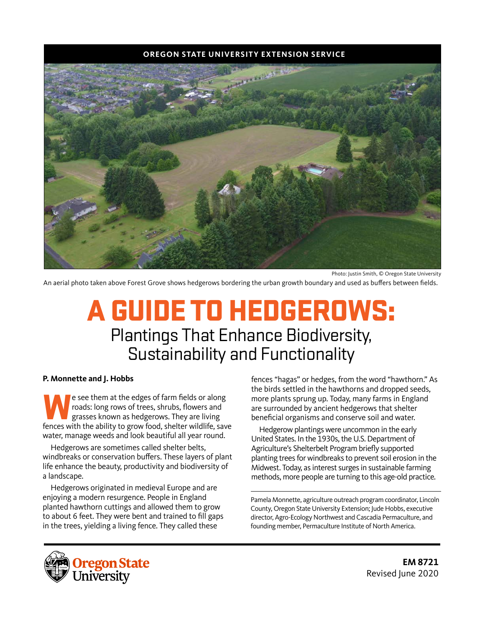#### **OREGON STATE UNIVERSITY EXTENSION SERVICE**



Photo: Justin Smith, © Oregon State University

An aerial photo taken above Forest Grove shows hedgerows bordering the urban growth boundary and used as buffers between fields.

# A GUIDE TO HEDGEROWS: Plantings That Enhance Biodiversity, Sustainability and Functionality

#### **P. Monnette and J. Hobbs**

We see them at the edges of farm fields or along<br>
grasses known as hedgerows. They are living<br>
fances with the ability to grow food, shelter wildlife, say roads: long rows of trees, shrubs, flowers and fences with the ability to grow food, shelter wildlife, save water, manage weeds and look beautiful all year round.

Hedgerows are sometimes called shelter belts, windbreaks or conservation buffers. These layers of plant life enhance the beauty, productivity and biodiversity of a landscape.

Hedgerows originated in medieval Europe and are enjoying a modern resurgence. People in England planted hawthorn cuttings and allowed them to grow to about 6 feet. They were bent and trained to fill gaps in the trees, yielding a living fence. They called these

fences "hagas" or hedges, from the word "hawthorn." As the birds settled in the hawthorns and dropped seeds, more plants sprung up. Today, many farms in England are surrounded by ancient hedgerows that shelter beneficial organisms and conserve soil and water.

Hedgerow plantings were uncommon in the early United States. In the 1930s, the U.S. Department of Agriculture's Shelterbelt Program briefly supported planting trees for windbreaks to prevent soil erosion in the Midwest. Today, as interest surges in sustainable farming methods, more people are turning to this age-old practice.

Pamela Monnette, agriculture outreach program coordinator, Lincoln County, Oregon State University Extension; Jude Hobbs, executive director, Agro-Ecology Northwest and Cascadia Permaculture, and founding member, Permaculture Institute of North America.



**EM 8721** Revised June 2020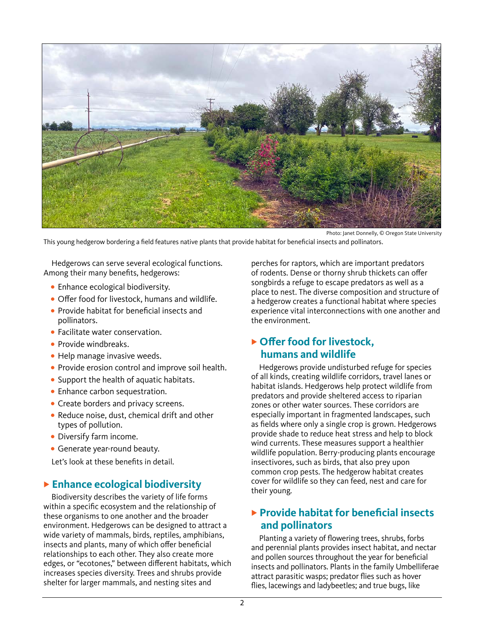

This young hedgerow bordering a field features native plants that provide habitat for beneficial insects and pollinators.

Hedgerows can serve several ecological functions. Among their many benefits, hedgerows:

- **•** Enhance ecological biodiversity.
- **•** Offer food for livestock, humans and wildlife.
- **•** Provide habitat for beneficial insects and pollinators.
- **•** Facilitate water conservation.
- **•** Provide windbreaks.
- **•** Help manage invasive weeds.
- **•** Provide erosion control and improve soil health.
- **•** Support the health of aquatic habitats.
- **•** Enhance carbon sequestration.
- **•** Create borders and privacy screens.
- **•** Reduce noise, dust, chemical drift and other types of pollution.
- **•** Diversify farm income.
- **•** Generate year-round beauty.

Let's look at these benefits in detail.

#### **Enhance ecological biodiversity**

Biodiversity describes the variety of life forms within a specific ecosystem and the relationship of these organisms to one another and the broader environment. Hedgerows can be designed to attract a wide variety of mammals, birds, reptiles, amphibians, insects and plants, many of which offer beneficial relationships to each other. They also create more edges, or "ecotones," between different habitats, which increases species diversity. Trees and shrubs provide shelter for larger mammals, and nesting sites and

perches for raptors, which are important predators of rodents. Dense or thorny shrub thickets can offer songbirds a refuge to escape predators as well as a place to nest. The diverse composition and structure of a hedgerow creates a functional habitat where species experience vital interconnections with one another and the environment.

#### ▶ Offer food for livestock, **humans and wildlife**

Hedgerows provide undisturbed refuge for species of all kinds, creating wildlife corridors, travel lanes or habitat islands. Hedgerows help protect wildlife from predators and provide sheltered access to riparian zones or other water sources. These corridors are especially important in fragmented landscapes, such as fields where only a single crop is grown. Hedgerows provide shade to reduce heat stress and help to block wind currents. These measures support a healthier wildlife population. Berry-producing plants encourage insectivores, such as birds, that also prey upon common crop pests. The hedgerow habitat creates cover for wildlife so they can feed, nest and care for their young.

#### **Provide habitat for beneficial insects and pollinators**

Planting a variety of flowering trees, shrubs, forbs and perennial plants provides insect habitat, and nectar and pollen sources throughout the year for beneficial insects and pollinators. Plants in the family Umbelliferae attract parasitic wasps; predator flies such as hover flies, lacewings and ladybeetles; and true bugs, like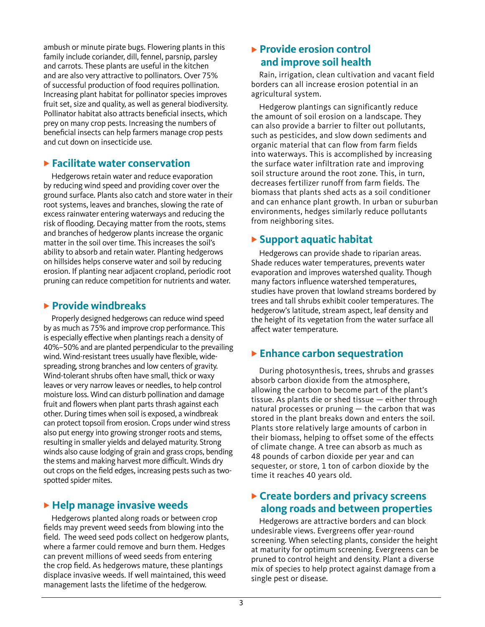ambush or minute pirate bugs. Flowering plants in this family include coriander, dill, fennel, parsnip, parsley and carrots. These plants are useful in the kitchen and are also very attractive to pollinators. Over 75% of successful production of food requires pollination. Increasing plant habitat for pollinator species improves fruit set, size and quality, as well as general biodiversity. Pollinator habitat also attracts beneficial insects, which prey on many crop pests. Increasing the numbers of beneficial insects can help farmers manage crop pests and cut down on insecticide use.

#### **Facilitate water conservation**

Hedgerows retain water and reduce evaporation by reducing wind speed and providing cover over the ground surface. Plants also catch and store water in their root systems, leaves and branches, slowing the rate of excess rainwater entering waterways and reducing the risk of flooding. Decaying matter from the roots, stems and branches of hedgerow plants increase the organic matter in the soil over time. This increases the soil's ability to absorb and retain water. Planting hedgerows on hillsides helps conserve water and soil by reducing erosion. If planting near adjacent cropland, periodic root pruning can reduce competition for nutrients and water.

#### **Provide windbreaks**

Properly designed hedgerows can reduce wind speed by as much as 75% and improve crop performance. This is especially effective when plantings reach a density of 40%–50% and are planted perpendicular to the prevailing wind. Wind-resistant trees usually have flexible, widespreading, strong branches and low centers of gravity. Wind-tolerant shrubs often have small, thick or waxy leaves or very narrow leaves or needles, to help control moisture loss. Wind can disturb pollination and damage fruit and flowers when plant parts thrash against each other. During times when soil is exposed, a windbreak can protect topsoil from erosion. Crops under wind stress also put energy into growing stronger roots and stems, resulting in smaller yields and delayed maturity. Strong winds also cause lodging of grain and grass crops, bending the stems and making harvest more difficult. Winds dry out crops on the field edges, increasing pests such as twospotted spider mites.

#### **Help manage invasive weeds**

Hedgerows planted along roads or between crop fields may prevent weed seeds from blowing into the field. The weed seed pods collect on hedgerow plants, where a farmer could remove and burn them. Hedges can prevent millions of weed seeds from entering the crop field. As hedgerows mature, these plantings displace invasive weeds. If well maintained, this weed management lasts the lifetime of the hedgerow.

#### **Provide erosion control and improve soil health**

Rain, irrigation, clean cultivation and vacant field borders can all increase erosion potential in an agricultural system.

Hedgerow plantings can significantly reduce the amount of soil erosion on a landscape. They can also provide a barrier to filter out pollutants, such as pesticides, and slow down sediments and organic material that can flow from farm fields into waterways. This is accomplished by increasing the surface water infiltration rate and improving soil structure around the root zone. This, in turn, decreases fertilizer runoff from farm fields. The biomass that plants shed acts as a soil conditioner and can enhance plant growth. In urban or suburban environments, hedges similarly reduce pollutants from neighboring sites.

#### **Support aquatic habitat**

Hedgerows can provide shade to riparian areas. Shade reduces water temperatures, prevents water evaporation and improves watershed quality. Though many factors influence watershed temperatures, studies have proven that lowland streams bordered by trees and tall shrubs exhibit cooler temperatures. The hedgerow's latitude, stream aspect, leaf density and the height of its vegetation from the water surface all affect water temperature.

#### **Enhance carbon sequestration**

During photosynthesis, trees, shrubs and grasses absorb carbon dioxide from the atmosphere, allowing the carbon to become part of the plant's tissue. As plants die or shed tissue — either through natural processes or pruning — the carbon that was stored in the plant breaks down and enters the soil. Plants store relatively large amounts of carbon in their biomass, helping to offset some of the effects of climate change. A tree can absorb as much as 48 pounds of carbon dioxide per year and can sequester, or store, 1 ton of carbon dioxide by the time it reaches 40 years old.

#### **Create borders and privacy screens along roads and between properties**

Hedgerows are attractive borders and can block undesirable views. Evergreens offer year-round screening. When selecting plants, consider the height at maturity for optimum screening. Evergreens can be pruned to control height and density. Plant a diverse mix of species to help protect against damage from a single pest or disease.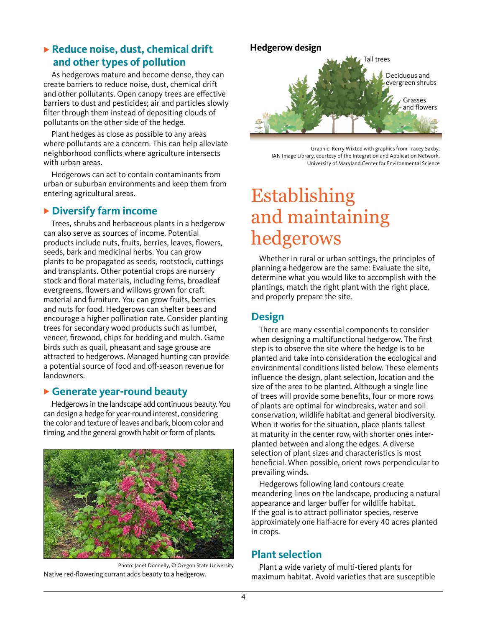#### **Reduce noise, dust, chemical drift and other types of pollution**

As hedgerows mature and become dense, they can create barriers to reduce noise, dust, chemical drift and other pollutants. Open canopy trees are effective barriers to dust and pesticides; air and particles slowly filter through them instead of depositing clouds of pollutants on the other side of the hedge.

Plant hedges as close as possible to any areas where pollutants are a concern. This can help alleviate neighborhood conflicts where agriculture intersects with urban areas.

Hedgerows can act to contain contaminants from urban or suburban environments and keep them from entering agricultural areas.

#### **Diversify farm income**

Trees, shrubs and herbaceous plants in a hedgerow can also serve as sources of income. Potential products include nuts, fruits, berries, leaves, flowers, seeds, bark and medicinal herbs. You can grow plants to be propagated as seeds, rootstock, cuttings and transplants. Other potential crops are nursery stock and floral materials, including ferns, broadleaf evergreens, flowers and willows grown for craft material and furniture. You can grow fruits, berries and nuts for food. Hedgerows can shelter bees and encourage a higher pollination rate. Consider planting trees for secondary wood products such as lumber, veneer, firewood, chips for bedding and mulch. Game birds such as quail, pheasant and sage grouse are attracted to hedgerows. Managed hunting can provide a potential source of food and off-season revenue for landowners.

#### **Generate year-round beauty**

Hedgerows in the landscape add continuous beauty. You can design a hedge for year-round interest, considering the color and texture of leaves and bark, bloom color and timing, and the general growth habit or form of plants.



Photo: Janet Donnelly, © Oregon State University Native red-flowering currant adds beauty to a hedgerow.



Graphic: Kerry Wixted with graphics from Tracey Saxby, IAN Image Library, courtesy of the Integration and Application Network, University of Maryland Center for Environmental Science

## Establishing and maintaining hedgerows

Whether in rural or urban settings, the principles of planning a hedgerow are the same: Evaluate the site, determine what you would like to accomplish with the plantings, match the right plant with the right place, and properly prepare the site.

## **Design**

There are many essential components to consider when designing a multifunctional hedgerow. The first step is to observe the site where the hedge is to be planted and take into consideration the ecological and environmental conditions listed below. These elements influence the design, plant selection, location and the size of the area to be planted. Although a single line of trees will provide some benefits, four or more rows of plants are optimal for windbreaks, water and soil conservation, wildlife habitat and general biodiversity. When it works for the situation, place plants tallest at maturity in the center row, with shorter ones interplanted between and along the edges. A diverse selection of plant sizes and characteristics is most beneficial. When possible, orient rows perpendicular to prevailing winds.

Hedgerows following land contours create meandering lines on the landscape, producing a natural appearance and larger buffer for wildlife habitat. If the goal is to attract pollinator species, reserve approximately one half-acre for every 40 acres planted in crops.

#### **Plant selection**

Plant a wide variety of multi-tiered plants for maximum habitat. Avoid varieties that are susceptible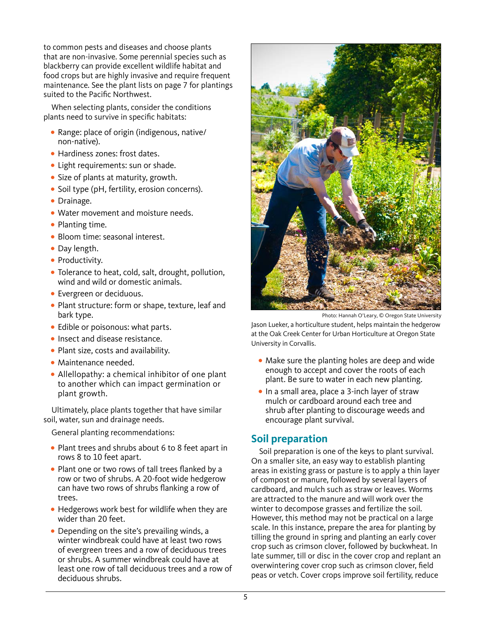to common pests and diseases and choose plants that are non-invasive. Some perennial species such as blackberry can provide excellent wildlife habitat and food crops but are highly invasive and require frequent maintenance. See the plant lists on page 7 for plantings suited to the Pacific Northwest.

When selecting plants, consider the conditions plants need to survive in specific habitats:

- **•** Range: place of origin (indigenous, native/ non-native).
- **•** Hardiness zones: frost dates.
- **•** Light requirements: sun or shade.
- **•** Size of plants at maturity, growth.
- **•** Soil type (pH, fertility, erosion concerns).
- **•** Drainage.
- **•** Water movement and moisture needs.
- **•** Planting time.
- **•** Bloom time: seasonal interest.
- **•** Day length.
- **•** Productivity.
- **•** Tolerance to heat, cold, salt, drought, pollution, wind and wild or domestic animals.
- **•** Evergreen or deciduous.
- **•** Plant structure: form or shape, texture, leaf and bark type.
- **•** Edible or poisonous: what parts.
- **•** Insect and disease resistance.
- **•** Plant size, costs and availability.
- **•** Maintenance needed.
- **•** Allellopathy: a chemical inhibitor of one plant to another which can impact germination or plant growth.

Ultimately, place plants together that have similar soil, water, sun and drainage needs.

General planting recommendations:

- **•** Plant trees and shrubs about 6 to 8 feet apart in rows 8 to 10 feet apart.
- **•** Plant one or two rows of tall trees flanked by a row or two of shrubs. A 20-foot wide hedgerow can have two rows of shrubs flanking a row of trees.
- **•** Hedgerows work best for wildlife when they are wider than 20 feet.
- **•** Depending on the site's prevailing winds, a winter windbreak could have at least two rows of evergreen trees and a row of deciduous trees or shrubs. A summer windbreak could have at least one row of tall deciduous trees and a row of deciduous shrubs.



Photo: Hannah O'Leary, © Oregon State University

Jason Lueker, a horticulture student, helps maintain the hedgerow at the Oak Creek Center for Urban Horticulture at Oregon State University in Corvallis.

- **•** Make sure the planting holes are deep and wide enough to accept and cover the roots of each plant. Be sure to water in each new planting.
- **•** In a small area, place a 3-inch layer of straw mulch or cardboard around each tree and shrub after planting to discourage weeds and encourage plant survival.

#### **Soil preparation**

Soil preparation is one of the keys to plant survival. On a smaller site, an easy way to establish planting areas in existing grass or pasture is to apply a thin layer of compost or manure, followed by several layers of cardboard, and mulch such as straw or leaves. Worms are attracted to the manure and will work over the winter to decompose grasses and fertilize the soil. However, this method may not be practical on a large scale. In this instance, prepare the area for planting by tilling the ground in spring and planting an early cover crop such as crimson clover, followed by buckwheat. In late summer, till or disc in the cover crop and replant an overwintering cover crop such as crimson clover, field peas or vetch. Cover crops improve soil fertility, reduce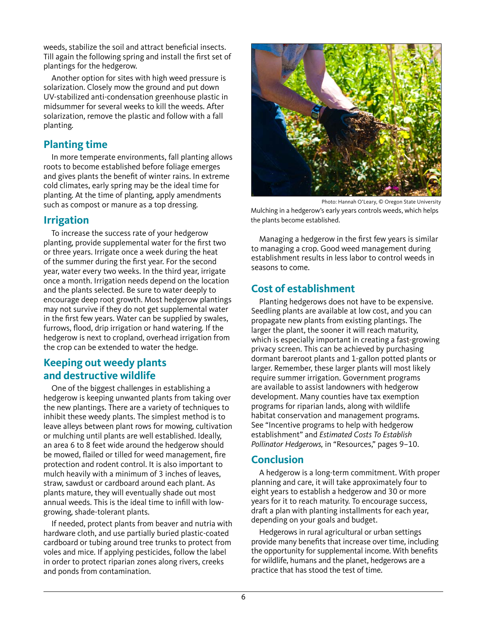weeds, stabilize the soil and attract beneficial insects. Till again the following spring and install the first set of plantings for the hedgerow.

Another option for sites with high weed pressure is solarization. Closely mow the ground and put down UV-stabilized anti-condensation greenhouse plastic in midsummer for several weeks to kill the weeds. After solarization, remove the plastic and follow with a fall planting.

## **Planting time**

In more temperate environments, fall planting allows roots to become established before foliage emerges and gives plants the benefit of winter rains. In extreme cold climates, early spring may be the ideal time for planting. At the time of planting, apply amendments such as compost or manure as a top dressing.

## **Irrigation**

To increase the success rate of your hedgerow planting, provide supplemental water for the first two or three years. Irrigate once a week during the heat of the summer during the first year. For the second year, water every two weeks. In the third year, irrigate once a month. Irrigation needs depend on the location and the plants selected. Be sure to water deeply to encourage deep root growth. Most hedgerow plantings may not survive if they do not get supplemental water in the first few years. Water can be supplied by swales, furrows, flood, drip irrigation or hand watering. If the hedgerow is next to cropland, overhead irrigation from the crop can be extended to water the hedge.

## **Keeping out weedy plants and destructive wildlife**

One of the biggest challenges in establishing a hedgerow is keeping unwanted plants from taking over the new plantings. There are a variety of techniques to inhibit these weedy plants. The simplest method is to leave alleys between plant rows for mowing, cultivation or mulching until plants are well established. Ideally, an area 6 to 8 feet wide around the hedgerow should be mowed, flailed or tilled for weed management, fire protection and rodent control. It is also important to mulch heavily with a minimum of 3 inches of leaves, straw, sawdust or cardboard around each plant. As plants mature, they will eventually shade out most annual weeds. This is the ideal time to infill with lowgrowing, shade-tolerant plants.

If needed, protect plants from beaver and nutria with hardware cloth, and use partially buried plastic-coated cardboard or tubing around tree trunks to protect from voles and mice. If applying pesticides, follow the label in order to protect riparian zones along rivers, creeks and ponds from contamination.



Photo: Hannah O'Leary, © Oregon State University Mulching in a hedgerow's early years controls weeds, which helps

Managing a hedgerow in the first few years is similar to managing a crop. Good weed management during establishment results in less labor to control weeds in seasons to come.

## **Cost of establishment**

the plants become established.

Planting hedgerows does not have to be expensive. Seedling plants are available at low cost, and you can propagate new plants from existing plantings. The larger the plant, the sooner it will reach maturity, which is especially important in creating a fast-growing privacy screen. This can be achieved by purchasing dormant bareroot plants and 1-gallon potted plants or larger. Remember, these larger plants will most likely require summer irrigation. Government programs are available to assist landowners with hedgerow development. Many counties have tax exemption programs for riparian lands, along with wildlife habitat conservation and management programs. See "Incentive programs to help with hedgerow establishment" and *Estimated Costs To Establish Pollinator Hedgerows,* in "Resources," pages 9–10.

#### **Conclusion**

A hedgerow is a long-term commitment. With proper planning and care, it will take approximately four to eight years to establish a hedgerow and 30 or more years for it to reach maturity. To encourage success, draft a plan with planting installments for each year, depending on your goals and budget.

Hedgerows in rural agricultural or urban settings provide many benefits that increase over time, including the opportunity for supplemental income. With benefits for wildlife, humans and the planet, hedgerows are a practice that has stood the test of time.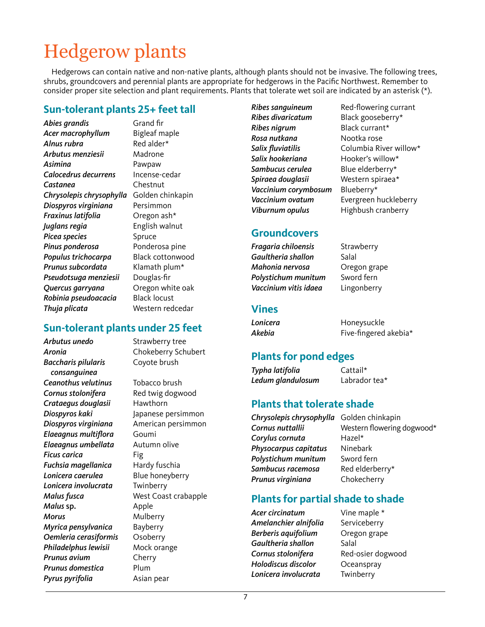# Hedgerow plants

Hedgerows can contain native and non-native plants, although plants should not be invasive. The following trees, shrubs, groundcovers and perennial plants are appropriate for hedgerows in the Pacific Northwest. Remember to consider proper site selection and plant requirements. Plants that tolerate wet soil are indicated by an asterisk (\*).

#### **Sun-tolerant plants 25+ feet tall**

*Abies grandis* Grand fir *Acer macrophyllum* Bigleaf maple Alnus rubra **Red** alder\* *Arbutus menziesii* Madrone *Asimina* Pawpaw *Calocedrus decurrens* Incense-cedar *Castanea* Chestnut *Chrysolepis chrysophylla* Golden chinkapin *Diospyros virginiana* Persimmon *Fraxinus latifolia* Oregon ash\* *Juglans regia* English walnut **Picea species** Spruce *Pinus ponderosa* Ponderosa pine *Populus trichocarpa* Black cottonwood *Prunus subcordata* Klamath plum\* *Pseudotsuga menziesii* Douglas-fir *Quercus garryana* Oregon white oak *Robinia pseudoacacia* Black locust *Thuja plicata* Western redcedar

#### **Sun-tolerant plants under 25 feet**

*Arbutus unedo* Strawberry tree *Aronia* Chokeberry Schubert *Baccharis pilularis* Coyote brush  *consanguinea Ceanothus velutinus* Tobacco brush **Cornus stolonifera** Red twig dogwood *Crataegus douglasii* Hawthorn **Diospyros kaki** Japanese persimmon *Diospyros virginiana* American persimmon **Elaeagnus multiflora** Goumi *Elaeagnus umbellata* Autumn olive **Ficus carica** Fig *Fuchsia magellanica* Hardy fuschia *Lonicera caerulea* Blue honeyberry *Lonicera involucrata* Twinberry *Malus fusca* West Coast crabapple *Malus* sp. **Apple** *Morus* Mulberry *Myrica pensylvanica* Bayberry *Oemleria cerasiformis* Osoberry *Philadelphus lewisii* Mock orange *Prunus avium* Cherry *Prunus domestica* Plum **Pyrus pyrifolia** Asian pear

*Ribes sanguineum* Red-flowering currant *Ribes divaricatum* Black gooseberry\* **Ribes nigrum** Black currant\* *Rosa nutkana* Nootka rose Salix fluviatilis Columbia River willow\* *Salix hookeriana* Hooker's willow\* *Sambucus cerulea* Blue elderberry\* *Spiraea douglasii* Western spiraea\* *Vaccinium corymbosum* Blueberry\* *Vaccinium ovatum* Evergreen huckleberry **Viburnum opulus** Highbush cranberry

#### **Groundcovers**

*Fragaria chiloensis* Strawberry *Gaultheria shallon* Salal *Mahonia nervosa* Oregon grape *Polystichum munitum* Sword fern *Vaccinium vitis idaea* Lingonberry

#### **Vines**

| Lonicera | Honeysuckle           |
|----------|-----------------------|
| Akebia   | Five-fingered akebia* |

## **Plants for pond edges**

*Typha latifolia* Cattail\* *Ledum glandulosum* Labrador tea\*

#### **Plants that tolerate shade**

- *Chrysolepis chrysophylla* Golden chinkapin *Corylus cornuta* Hazel\* **Physocarpus capitatus** Ninebark *Polystichum munitum* Sword fern *Sambucus racemosa* Red elderberry\* *Prunus virginiana* Chokecherry
- *Cornus nuttallii* Western flowering dogwood\*

## **Plants for partial shade to shade**

Acer circinatum Vine maple \* *Amelanchier alnifolia* Serviceberry *Berberis aquifolium* Oregon grape *Gaultheria shallon* Salal *Cornus stolonifera* Red-osier dogwood **Holodiscus discolor** Oceanspray *Lonicera involucrata* Twinberry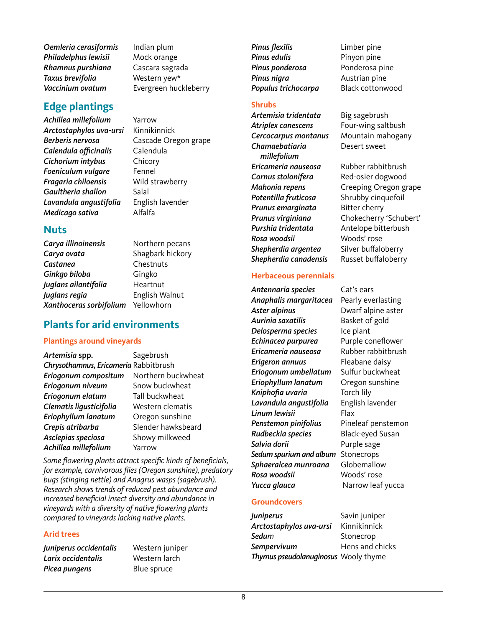*Oemleria cerasiformis* Indian plum *Philadelphus lewisii* Mock orange *Rhamnus purshiana* Cascara sagrada *Taxus brevifolia* Western yew\* *Vaccinium ovatum* Evergreen huckleberry

#### **Edge plantings**

*Achillea millefolium* Yarrow *Arctostaphylos uva-ursi* Kinnikinnick *Berberis nervosa* Cascade Oregon grape Calendula officinalis Calendula *Cichorium intybus* Chicory *Foeniculum vulgare* Fennel *Fragaria chiloensis* Wild strawberry *Gaultheria shallon* Salal *Lavandula angustifolia* English lavender *Medicago sativa* Alfalfa

#### **Nuts**

*Carya illinoinensis* Northern pecans *Carya ovata* Shagbark hickory *Castanea* Chestnuts *Ginkgo biloba* Gingko *Juglans ailantifolia* Heartnut *Juglans regia* English Walnut *Xanthoceras sorbifolium* Yellowhorn

#### **Plants for arid environments**

#### **Plantings around vineyards**

| Artemisia spp.                        | Sagebrush          |
|---------------------------------------|--------------------|
| Chrysothamnus, Ericameria Rabbitbrush |                    |
| Eriogonum compositum                  | Northern buckwheat |
| Eriogonum niveum                      | Snow buckwheat     |
| Eriogonum elatum                      | Tall buckwheat     |
| Clematis ligusticifolia               | Western clematis   |
| Eriophyllum lanatum                   | Oregon sunshine    |
| Crepis atribarba                      | Slender hawksbeard |
| Asclepias speciosa                    | Showy milkweed     |
| Achillea millefolium                  | Yarrow             |

Some flowering plants attract specific kinds of beneficials, for example, carnivorous flies (Oregon sunshine), predatory bugs (stinging nettle) and Anagrus wasps (sagebrush). Research shows trends of reduced pest abundance and increased beneficial insect diversity and abundance in vineyards with a diversity of native flowering plants compared to vineyards lacking native plants.

#### **Arid trees**

*Juniperus occidentalis* Western juniper *Larix occidentalis* Western larch **Picea pungens** Blue spruce

**Pinus flexilis** Limber pine **Pinus edulis** Pinyon pine **Pinus ponderosa** Ponderosa pine **Pinus nigra Austrian pine** *Populus trichocarpa* Black cottonwood

#### **Shrubs**

*Artemisia tridentata* Big sagebrush *Atriplex canescens* Four-wing saltbush *Cercocarpus montanus* Mountain mahogany *Chamaebatiaria* Desert sweet  *millefolium Ericameria nauseosa* Rubber rabbitbrush **Cornus stolonifera** Red-osier dogwood *Potentilla fruticosa* Shrubby cinquefoil *Prunus emarginata* Bitter cherry *Purshia tridentata* Antelope bitterbush *Rosa woodsii* Woods' rose **Shepherdia argentea** Silver buffaloberry *Shepherdia canadensis* Russet buffaloberry

#### **Herbaceous perennials**

*Antennaria species* Cat's ears *Anaphalis margaritacea* Pearly everlasting *Aster alpinus* Dwarf alpine aster *Aurinia saxatilis* Basket of gold *Delosperma species* Ice plant *Echinacea purpurea* Purple coneflower *Ericameria nauseosa* Rubber rabbitbrush *Erigeron annuus* Fleabane daisy *Eriogonum umbellatum* Sulfur buckwheat *Eriophyllum lanatum* Oregon sunshine Kniphofia uvaria Torch lily *Lavandula angustifolia* English lavender *Linum lewisii* Flax *Penstemon pinifolius* Pineleaf penstemon *Rudbeckia species* Black-eyed Susan **Salvia dorii** Purple sage *Sedum spurium and album* Stonecrops *Sphaeralcea munroana* Globemallow *Rosa woodsii* Woods' rose *Yucca glauca* **Narrow leaf yucca** 

#### **Groundcovers**

*Juniperus* Savin juniper *Arctostaphylos uva-ursi* Kinnikinnick **Sedu**m
Stonecrop **Sempervivum** Hens and chicks *Thymus pseudolanuginosus* Wooly thyme

*Mahonia repens* Creeping Oregon grape *Prunus virginiana* Chokecherry 'Schubert'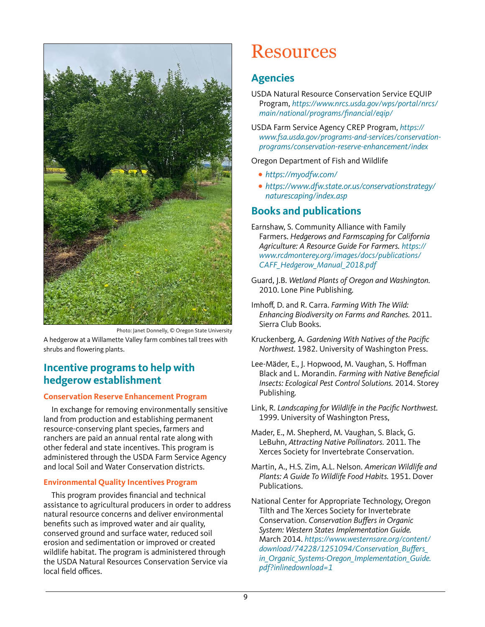

Photo: Janet Donnelly, © Oregon State University

A hedgerow at a Willamette Valley farm combines tall trees with shrubs and flowering plants.

## **Incentive programs to help with hedgerow establishment**

#### **Conservation Reserve Enhancement Program**

In exchange for removing environmentally sensitive land from production and establishing permanent resource-conserving plant species, farmers and ranchers are paid an annual rental rate along with other federal and state incentives. This program is administered through the USDA Farm Service Agency and local Soil and Water Conservation districts.

#### **Environmental Quality Incentives Program**

This program provides financial and technical assistance to agricultural producers in order to address natural resource concerns and deliver environmental benefits such as improved water and air quality, conserved ground and surface water, reduced soil erosion and sedimentation or improved or created wildlife habitat. The program is administered through the USDA Natural Resources Conservation Service via local field offices.

## Resources

## **Agencies**

- USDA Natural Resource Conservation Service EQUIP Program, [https://www.nrcs.usda.gov/wps/portal/nrcs/](https://www.nrcs.usda.gov/wps/portal/nrcs/main/national/programs/financial/eqip/) [main/national/programs/financial/eqip/](https://www.nrcs.usda.gov/wps/portal/nrcs/main/national/programs/financial/eqip/)
- USDA Farm Service Agency CREP Program, [https://](https://www.fsa.usda.gov/programs-and-services/conservation-programs/conservation-reserve-enhancement/index) [www.fsa.usda.gov/programs-and-services/conservation](https://www.fsa.usda.gov/programs-and-services/conservation-programs/conservation-reserve-enhancement/index)[programs/conservation-reserve-enhancement/index](https://www.fsa.usda.gov/programs-and-services/conservation-programs/conservation-reserve-enhancement/index)

#### Oregon Department of Fish and Wildlife

- **•** <https://myodfw.com/>
- **•** [https://www.dfw.state.or.us/conservationstrategy/](https://www.dfw.state.or.us/conservationstrategy/naturescaping/index.asp) [naturescaping/index.asp](https://www.dfw.state.or.us/conservationstrategy/naturescaping/index.asp)

## **Books and publications**

- Earnshaw, S. Community Alliance with Family Farmers. Hedgerows and Farmscaping for California Agriculture: A Resource Guide For Farmers. [https://](https://www.rcdmonterey.org/images/docs/publications/CAFF_Hedgerow_Manual_2018.pdf) [www.rcdmonterey.org/images/docs/publications/](https://www.rcdmonterey.org/images/docs/publications/CAFF_Hedgerow_Manual_2018.pdf) [CAFF\\_Hedgerow\\_Manual\\_2018.pdf](https://www.rcdmonterey.org/images/docs/publications/CAFF_Hedgerow_Manual_2018.pdf)
- Guard, J.B. Wetland Plants of Oregon and Washington. 2010. Lone Pine Publishing.
- Imhoff, D. and R. Carra. Farming With The Wild: Enhancing Biodiversity on Farms and Ranches. 2011. Sierra Club Books.
- Kruckenberg, A. Gardening With Natives of the Pacific Northwest. 1982. University of Washington Press.
- Lee-Mäder, E., J. Hopwood, M. Vaughan, S. Hoffman Black and L. Morandin. Farming with Native Beneficial Insects: Ecological Pest Control Solutions. 2014. Storey Publishing.
- Link, R. Landscaping for Wildlife in the Pacific Northwest. 1999. University of Washington Press,
- Mader, E., M. Shepherd, M. Vaughan, S. Black, G. LeBuhn, Attracting Native Pollinators. 2011. The Xerces Society for Invertebrate Conservation.
- Martin, A., H.S. Zim, A.L. Nelson. American Wildlife and Plants: A Guide To Wildlife Food Habits. 1951. Dover Publications.
- National Center for Appropriate Technology, Oregon Tilth and The Xerces Society for Invertebrate Conservation. Conservation Buffers in Organic System: Western States Implementation Guide. March 2014. [https://www.westernsare.org/content/](https://www.westernsare.org/content/download/74228/1251094/Conservation_Buffers_in_Organic_Systems-Oregon_Implementation_Guide.pdf?inlinedownload=1) [download/74228/1251094/Conservation\\_Buffers\\_](https://www.westernsare.org/content/download/74228/1251094/Conservation_Buffers_in_Organic_Systems-Oregon_Implementation_Guide.pdf?inlinedownload=1) [in\\_Organic\\_Systems-Oregon\\_Implementation\\_Guide.](https://www.westernsare.org/content/download/74228/1251094/Conservation_Buffers_in_Organic_Systems-Oregon_Implementation_Guide.pdf?inlinedownload=1) [pdf?inlinedownload=1](https://www.westernsare.org/content/download/74228/1251094/Conservation_Buffers_in_Organic_Systems-Oregon_Implementation_Guide.pdf?inlinedownload=1)